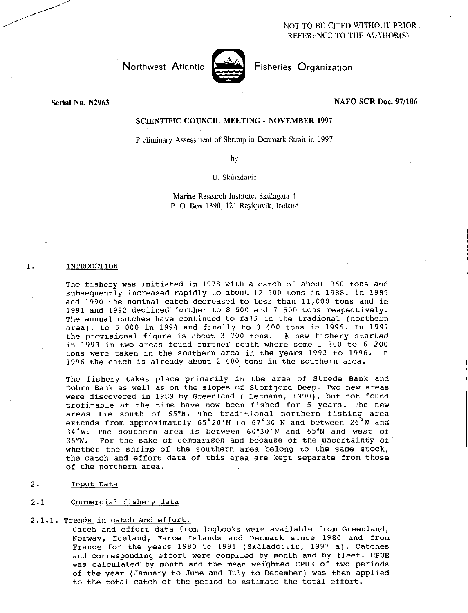NOT TO BE CITED WITHOUT PRIOR REFERENCE TO THE AUTHOR(S)

Northwest Atlantic **Notation** Fisheries Organization



# Serial No. N2963 NAFO SCR Doc. 97/106

# SCIENTIFIC COUNCIL MEETING - NOVEMBER 1997

Preliminary Assessment of Shrimp in Denmark Strait in 1997

by

U. Skuladottir

Marine Research Institute, Skúlagata 4 P. 0. Box 1390, 121 Reykjavik, Iceland

#### 1. INTRODCTION

The fishery was initiated in 1978 with a catch of about 360 tons and subsequently increased rapidly to about 12 500 tons in 1988. in 1989 and 1990 the nominal catch decreased to less than 11,000 tons and in 1991 and 1992 declined further to 8 600 and 7 500 tons respectively. The annual catches have continued to fall in the tradional (northern area), to 5.000 in 1994 and finally to 3 400 tons in 1996. In 1997 the provisional figure is about 3 700 tons. A new fishery started in 1993 in two areas found further south where some 1 200 to 6 200 tons were taken in the southern area in the years 1993 to 1996. In 1996 the catch is already about 2 400 tons in the southern area.

The fishery takes place primarily in the area of Strede Bank and Dohrn Bank as well as on the slopes of Storfjord Deep. Two new areas were discovered in 1989 by Greenland ( Lehmann, 1990), but not found profitable at the time have now been fished for 5 years. The new areas lie south of 65°N. The traditional northern fishing area extends from approximately  $65°20'$ N to  $67°30'$ N and between  $26°$ W and <sup>34</sup> ° W. The southern area is between 60°30'N and 65°N and west of 35°W. For the sake of comparison and because of the uncertainty of whether the shrimp of the southern area belong to the same stock, the catch and effort data of this area are kept separate from those of the northern area.

2. Input Data

# 2.1 Commercial fishery data

# 2.1.1. Trends in catch and effort.

Catch and effort data from logbooks were available from Greenland, Norway, Iceland, Faroe Islands and Denmark since 1980 and from France for the years 1980 to 1991 (Skúladóttir, 1997 a). Catches and corresponding effort were compiled by month and by fleet. CPUE was calculated by month and the mean weighted CPUE of two periods of the year (January to June and July to December) was then applied to the total catch of the period to estimate the total effort.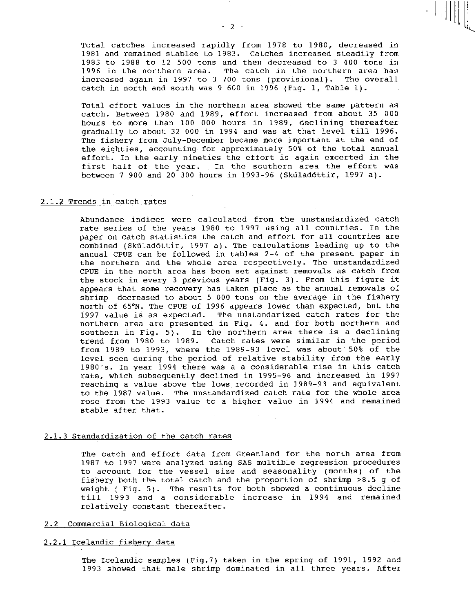Total catches increased rapidly from 1978 to 1980, decreased in 1981 and remained stablee to 1983. Catches increased steadily from 1983 to 1988 to 12 500 tons and then decreased to 3 400 tons in 1996 in the northern area. The catch in the northern area has increased again in 1997 to 3 700 tons (provisional). The overall catch in north and south was 9 600 in 1996 (Fig. 1, Table 1).

Total effort values in the northern area showed the same pattern as catch. Between 1980 and 1989, effort increased from about 35 000 hours to more than 100 000 hours in 1989, declining thereafter gradually to about 32 000 in 1994 and was at that level till 1996. The fishery from July-December became more important at the end of the eighties, accounting for approximately 50% of the total annual effort. In the early nineties the effort is again excerted in the first half of the year. In the southern area the effort was between 7 900 and 20 300 hours in 1993-96 (Skdladdttir, 1997 a).

# 2.1.2 Trends in catch rates

Abundance indices were calculated from the unstandardized catch rate series of the years 1980 to 1997 using all countries. In the paper on catch statistics the catch and effort for all countries are combined (Skúladóttir, 1997 a). The calculations leading up to the annual CPUE can be followed in tables 2-4 of the present paper in the northern and the whole area respectively. The unstandardized CPUE in the north area has been set against removals as catch from the stock in every 3 previous years (Fig. 3). From this figure it appears that some recovery has taken place as the annual removals of shrimp decreased to about 5 000 tons on the average in the fishery north of 65°N. The CPUE of 1996 appears lower than expected, but the 1997 value is as expected. The unstandarized catch rates for the northern area are presented in Fig. 4. and for both northern and southern in Fig. 5). In the northern area there is a declining trend from 1980 to 1989. Catch rates were similar in the period from 1989 to 1993, where the 1989-93 level was about 50% of the level seen during the period of relative stability from the early 1980's. In year 1994 there was a a considerable rise in this catch rate, which subsequently declined in 1995-96 and increased in 1997 reaching a value above the lows recorded in 1989-93 and equivalent to the 1987 value. The unstandardized catch rate for the whole area rose from the 1993 value to a higher value in 1994 and remained stable after that.

#### 2.1.3 Standardization of the catch rates

The catch and effort data from Greenland for the north area from 1987 to 1997 were analyzed using SAS multible regression procedures to account for the vessel size and seasonality (months) of the fishery both the total catch and the proportion of shrimp >8.5 g of weight ( Fig. 5). The results for both showed a continuous decline till 1993 and a considerable increase in 1994 and remained relatively constant thereafter.

#### 2.2 Commercial Biological data

# 2.2.1 Icelandic fishery data

The Icelandic samples (Fig.7) taken in the spring of 1991, 1992 and 1993 showed that male shrimp dominated in all three years. After

 $-2$  -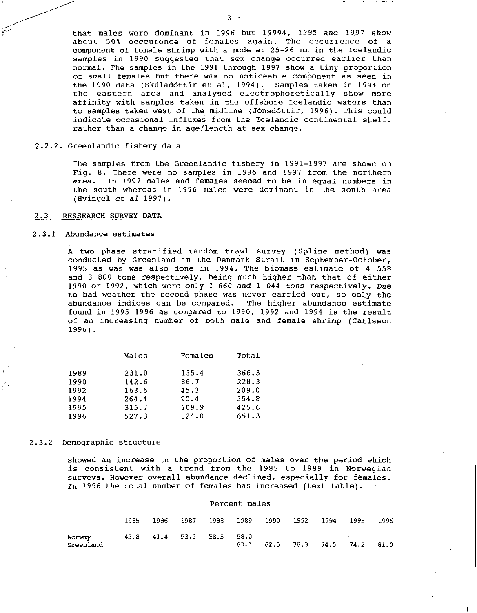that males were dominant in 1996 but 19994, 1995 and 1997 show about 50% occcurence of females again. The occurrence of a component of female shrimp with a mode at 25-26 mm in the Icelandic samples in 1990 suggested that sex change occurred earlier than normal. The samples in the 1991 through 1997 show a tiny proportion of small females but there was no noticeable component as seen in the 1990 data (Skúladóttir et al, 1994). Samples taken in 1994 on the eastern area and analysed electrophoretically show more affinity with samples taken in the offshore Icelandic waters than to samples taken west of the midline (JOnsdottir, 1996). This could indicate occasional influxes from the Icelandic continental shelf. rather than a change in age/length at sex change.

 $-3 -$ 

### 2 2.2. Greenlandic fishery data

The samples from the Greenlandic fishery in 1991-1997 are shown on Fig. 8. There were no samples in 1996 and 1997 from the northern area. In 1997 males and females seemed to be in equal numbers in the south whereas in 1996 males were dominant in the south area (Hvingel et *al* 1997).

#### 2.3 RESSEARCH SURVEY DATA

#### 2 3.1 Abundance estimates

A two phase stratified random trawl survey (Spline method) was conducted by Greenland in the Denmark Strait in September-October, 1995 as was was also done in 1994. The biomass estimate of 4 558 and 3 800 tons respectively, being much higher than that of either 1990 or 1992, which were only 1 860 and 1 044 tons respectively. Due to bad weather the second phase was never carried out, so only the abundance indices can be compared. The higher abundance estimate found in 1995 1996 as compared to 1990, 1992 and 1994 is the result of an increasing number of both male and female shrimp (Carlsson 1996).

|      | Males | Females | Total |
|------|-------|---------|-------|
| 1989 | 231.0 | 135.4   | 366.3 |
| 1990 | 142.6 | 86.7    | 228.3 |
| 1992 | 163.6 | 45.3    | 209.0 |
| 1994 | 264.4 | 90.4    | 354.8 |
| 1995 | 315.7 | 109.9   | 425.6 |
| 1996 | 527.3 | 124.0   | 651.3 |
|      |       |         |       |

#### 2.3.2 Demographic structure

showed an increase in the proportion of males over the period which is consistent with a trend from the 1985 to 1989 in Norwegian surveys. However overall abundance declined, especially for females. In 1996 the total number of females has increased (text table).

#### Percent males

|                     | 1985. | 1986                     | 1987 |  |  | 1988 1989 1990 1992 1994 1995 |                                           | - 1996 |
|---------------------|-------|--------------------------|------|--|--|-------------------------------|-------------------------------------------|--------|
| Norwav<br>Greenland |       | 43.8 41.4 53.5 58.5 58.0 |      |  |  |                               | $63.1$ $62.5$ $78.3$ $74.5$ $74.2$ $81.0$ |        |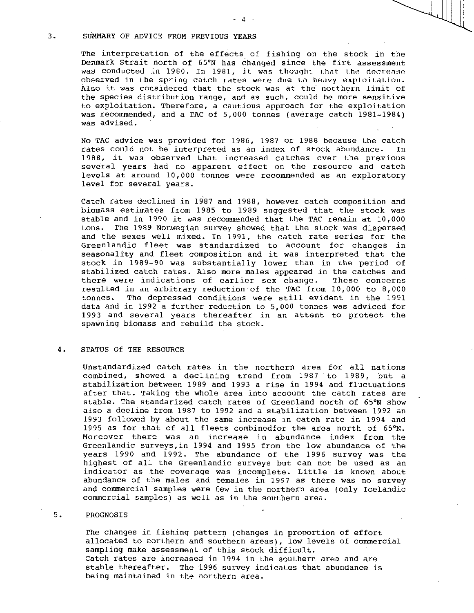### 3. SUMMARY OF ADVICE FROM PREVIOUS YEARS

The interpretation of the effects of fishing on the stock in the Denmark Strait north of 65°N has changed since the firt assessment was conducted in 1980. In 1981, it was thought that the decrease observed in the spring catch rates were due to heavy exploitation. Also it was considered that the stock was at the northern limit of the species distribution range, and as such, could be more sensitive to exploitation. Therefore, a cautious approach for the exploitation was recommended, and a TAC of 5,000 tonnes (average catch 1981-1984) was advised.

No TAC advice was provided for 1986, 1987 or 1988 because the catch rates could not be interpreted as an index of stock abundance. In 1988, it was observed that increased catches over the previous several years had no apparent effect on the resource and catch levels at around 10,000 tonnes were recommended as an exploratory level for several years.

Catch rates declined in 1987 and 1988, however catch composition and biomass estimates from 1985 to 1989 suggested that the stock was stable and in 1990 it was recommended that the TAC remain at 10,000 tons. The 1989 Norwegian survey showed that the stock was dispersed and the sexes well mixed. In 1991, the catch rate series for the Greenlandic fleet was standardized to account for changes in seasonality and fleet composition and it was interpreted that the stock in 1989-90 was substantially lower than in the period of stabilized catch rates. Also more males appeared in the catches and<br>there were indications of earlier sex change. These concerns there were indications of earlier sex change. resulted in an arbitrary reduction of the TAC from 10,000 to 8,000 The depressed conditions were still evident in the 1991 data and in 1992 a further reduction to 5,000 tonnes was adviced for 1993 and several years thereafter in an attemt to protect the spawning biomass and rebuild the stock.

# 4. STATUS Of THE RESOURCE

Unstandardized catch rates in the northern area for all nations combined, showed a declining trend from 1987 to 1989, but a stabilization between 1989 and 1993 a rise in 1994 and fluctuations after that. Taking the whole area into acoount the catch rates are stable. The standarized catch rates of Greenland north of 65°N show also a decline from 1987 to 1992 and a stabilization between 1992 an 1993 followed by about the same increase in catch rate in 1994 and 1995 as for that of all fleets combinedfor the area north of 65°N. Moreover there was an increase in abundance index from the Greenlandic surveys,in 1994 and 1995 from the low abundance of the years 1990 and 1992. The abundance of the 1996 survey was the highest of all the Greenlandic surveys but can not be used as an indicator as the coverage was incomplete. Little is known about abundance of the males and females in 1997 as there was no survey and commercial samples were few in the northern area (only Icelandic commercial samples) as well as in the southern area.

#### 5. PROGNOSIS

The changes in fishing pattern (changes in proportion of effort allocated to northern and southern areas), low levels of commercial sampling make assessment of this stock difficult. Catch rates are increased in 1994 in the southern area and are stable thereafter. The 1996 survey indicates that abundance is being maintained in the northern area.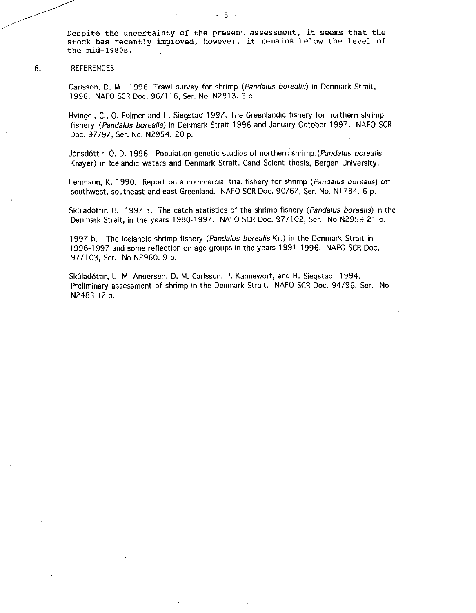Despite the uncertainty of the present assessment, it seems that the stock has recently improved, however, it remains below the level of the mid-1980s.

# 6. REFERENCES

Carlsson, D. M. 1996. Trawl survey for shrimp *(Pandalus borealis)* in Denmark Strait, 1996. NAFO SCR Doc. 96/116, Ser. No. N2813. 6 p.

Hvingel, C., 0. Folmer and H. Siegstad 1997. The Greenlandic fishery for northern shrimp fishery *(Pandalus borealis)* in Denmark Strait 1996 and January-October 1997. NAFO SCR Doc. 97/97, Ser. No. N2954. 20 p.

Jonsclottir, 0. D. 1996. Population genetic studies of northern shrimp. *(Pandalus borealis*  Kroyer) in Icelandic waters and Denmark Strait. Cand Scient thesis, Bergen University.

Lehmann, K. 1990. Report on a commercial trial fishery for shrimp *(Pandalus borealis)* off southwest, southeast and east Greenland. NAFO SCR Doc. 90/62, Ser. No. N1784. 6 p.

Skúladóttir, U. 1997 a. The catch statistics of the shrimp fishery *(Pandalus borealis)* in the Denmark Strait, in the years 1980-1997. NAFO SCR Doc. 97/102, Ser. No N2959 21 p.

1997 b. The Icelandic shrimp fishery *(Pandalus borealis* Kr.) in the Denmark Strait in 1996-1997 and some reflection on age groups in the years 1991-1996. NAFO SCR Doc. 97/103, Ser. No N2960. 9 p.

Skúladóttir, U, M. Andersen, D. M. Carlsson, P. Kanneworf, and H. Siegstad 1994. Preliminary assessment of shrimp in the Denmark Strait. NAFO SCR Doc. 94/96, Ser. No N2483 12 p.

 $5 -$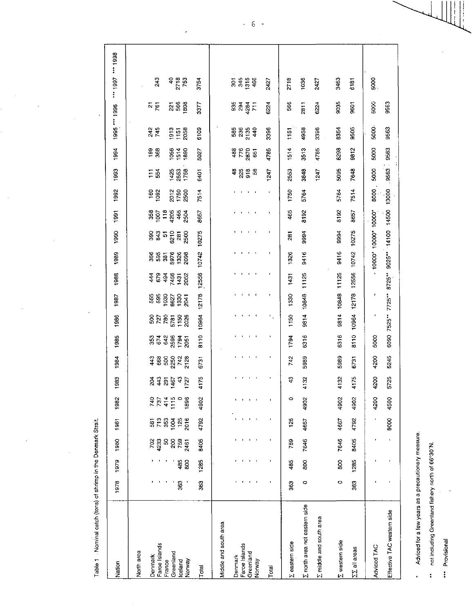Table 1 . Nominal catch (tons) of shrimp in the Denmark Strait.

 $\ddot{\phantom{0}}$ 

| 5000<br>9505<br>9563<br>3396<br>3396<br>8354<br>6109<br>245<br><b>1915</b><br>1158<br>2058<br>58824<br>4958<br>1151<br>8298<br>9812<br>9563<br>5000<br>4785<br>4785<br>$\frac{98}{368}$<br><b>9538</b><br>488<br>$776$<br>2870<br>1514<br>3513<br>5027<br>$\overline{5}$<br>9563<br>5095<br>7648<br>5000<br>ទន្លន្ទន<br>2553<br>1425<br>253<br>1758<br>1247<br>3848<br>1247<br>$\Xi$ $\frac{9}{5}$<br>6401<br>13000<br>8000<br>1750<br>5764<br>7514<br>160<br>1092<br>7514<br>5764<br>20<br>150<br>250<br>6090 7525** 7725** 8725** 9025** 14100 14500<br>465<br>8192<br>- 1000" 1000" 1000"<br>8192<br>8657<br>3524348<br>8657<br>10275<br>10275<br>9994<br>9994<br>ន្ល ទូ ឆ ន្ល<br>និង ឆ្លូ ន្ល ន្ល<br>281<br>10742<br>10742<br>9416<br>9416<br>1326<br><b>8855888</b><br>12556<br>12556<br>9814 10848 11125<br>11125<br><b>4235</b><br>4235<br>1431<br>2052<br>1431<br>10964 12178<br>10848<br>ı<br>12178<br>٠<br>1330<br><b>5555555</b><br>565555<br>9814<br>10964<br>$\mathbf{S}_{\mathbf{q},\mathbf{q}}$<br>$\blacksquare$<br>1150<br>ន្ទ្រ<br>ន្ទ្រី<br>ន្ទ្រី<br>1150<br>2026<br>8110<br>8110<br>6316<br>6316<br>1794<br>5000<br>5989<br>5245<br>742<br>5989<br>4200<br>ទី ឆ្លូ ខ្លួ ម្ដុំ ខ្លួ<br>ភ្នំ ខ្លួ ខ្លួ ម្ដុំ ខ្លួ<br>6731<br>6731<br>4175<br>\$<br>4132<br>4132<br>4175<br>4200<br>5725<br>थ <del>4</del><br>$\frac{43}{2}$<br>1467<br>$\overline{5}$<br>740<br>737<br>414<br>1115<br>$\circ$<br>1896<br>4902<br>$\circ$<br>4902<br>4902<br>4902<br>4200<br>4500<br>$\bullet$<br>$\blacksquare$<br>$\blacksquare$<br>4667<br>4792<br>4792<br>4667<br>$\ddot{\phantom{1}}$<br>8000<br>713<br>353<br>2016<br>125<br>125<br>1004<br>581<br>7646<br>7646<br>8405<br>8405<br>4233<br>759<br>702<br>S.<br>$\frac{8}{20}$<br>759<br>2461<br>80<br>80<br>1285<br>1285<br>485<br>485<br>800<br>363<br>363<br>o<br>$\circ$<br>$\ddot{\mathbf{S}}$<br>363<br>E north area not eastern side<br>Effective TAC western side<br><b>Z</b> middle and south area<br>Middle and south area<br><b>Z</b> western side<br><b>Z</b> eastern side<br>Faroe Islands<br>Faroe Islands<br>Adviced TAC<br><b>ΣΣ</b> all areas<br>North area<br>Greenland<br>Greenland<br>Denmark<br>Denmark<br>Iceland<br>Norway<br>France<br>Norway<br>Total<br>Total | Nation | 1978 | 1979 | 1980 | 1981 | 1982 | 1983 | 1984 | 1985 | 1986 | 1987 | 1988 | 1989 | 1990 | 1991 | 1992 | 1993 | 1994 | 1995 *** 1996 |                              | 1998<br>""1997          |
|------------------------------------------------------------------------------------------------------------------------------------------------------------------------------------------------------------------------------------------------------------------------------------------------------------------------------------------------------------------------------------------------------------------------------------------------------------------------------------------------------------------------------------------------------------------------------------------------------------------------------------------------------------------------------------------------------------------------------------------------------------------------------------------------------------------------------------------------------------------------------------------------------------------------------------------------------------------------------------------------------------------------------------------------------------------------------------------------------------------------------------------------------------------------------------------------------------------------------------------------------------------------------------------------------------------------------------------------------------------------------------------------------------------------------------------------------------------------------------------------------------------------------------------------------------------------------------------------------------------------------------------------------------------------------------------------------------------------------------------------------------------------------------------------------------------------------------------------------------------------------------------------------------------------------------------------------------------------------------------------------------------------------------------------------------------------------------------------------------------------------------------------------------------------------------------------------------------------------------------------|--------|------|------|------|------|------|------|------|------|------|------|------|------|------|------|------|------|------|---------------|------------------------------|-------------------------|
|                                                                                                                                                                                                                                                                                                                                                                                                                                                                                                                                                                                                                                                                                                                                                                                                                                                                                                                                                                                                                                                                                                                                                                                                                                                                                                                                                                                                                                                                                                                                                                                                                                                                                                                                                                                                                                                                                                                                                                                                                                                                                                                                                                                                                                                |        |      |      |      |      |      |      |      |      |      |      |      |      |      |      |      |      |      |               | <u>ភ្លូ ន</u> ្លូ ន្ល<br>5 p | 243<br>$\frac{40}{273}$ |
|                                                                                                                                                                                                                                                                                                                                                                                                                                                                                                                                                                                                                                                                                                                                                                                                                                                                                                                                                                                                                                                                                                                                                                                                                                                                                                                                                                                                                                                                                                                                                                                                                                                                                                                                                                                                                                                                                                                                                                                                                                                                                                                                                                                                                                                |        |      |      |      |      |      |      |      |      |      |      |      |      |      |      |      |      |      |               | 3377                         | 3754                    |
|                                                                                                                                                                                                                                                                                                                                                                                                                                                                                                                                                                                                                                                                                                                                                                                                                                                                                                                                                                                                                                                                                                                                                                                                                                                                                                                                                                                                                                                                                                                                                                                                                                                                                                                                                                                                                                                                                                                                                                                                                                                                                                                                                                                                                                                |        |      |      |      |      |      |      |      |      |      |      |      |      |      |      |      |      |      |               |                              |                         |
|                                                                                                                                                                                                                                                                                                                                                                                                                                                                                                                                                                                                                                                                                                                                                                                                                                                                                                                                                                                                                                                                                                                                                                                                                                                                                                                                                                                                                                                                                                                                                                                                                                                                                                                                                                                                                                                                                                                                                                                                                                                                                                                                                                                                                                                |        |      |      |      |      |      |      |      |      |      |      |      |      |      |      |      |      |      |               | នី<br>ខ្លី ខ្លី E            | 5458                    |
|                                                                                                                                                                                                                                                                                                                                                                                                                                                                                                                                                                                                                                                                                                                                                                                                                                                                                                                                                                                                                                                                                                                                                                                                                                                                                                                                                                                                                                                                                                                                                                                                                                                                                                                                                                                                                                                                                                                                                                                                                                                                                                                                                                                                                                                |        |      |      |      |      |      |      |      |      |      |      |      |      |      |      |      |      |      |               | 6224                         | 2427                    |
|                                                                                                                                                                                                                                                                                                                                                                                                                                                                                                                                                                                                                                                                                                                                                                                                                                                                                                                                                                                                                                                                                                                                                                                                                                                                                                                                                                                                                                                                                                                                                                                                                                                                                                                                                                                                                                                                                                                                                                                                                                                                                                                                                                                                                                                |        |      |      |      |      |      |      |      |      |      |      |      |      |      |      |      |      |      |               | 566                          | 2718                    |
|                                                                                                                                                                                                                                                                                                                                                                                                                                                                                                                                                                                                                                                                                                                                                                                                                                                                                                                                                                                                                                                                                                                                                                                                                                                                                                                                                                                                                                                                                                                                                                                                                                                                                                                                                                                                                                                                                                                                                                                                                                                                                                                                                                                                                                                |        |      |      |      |      |      |      |      |      |      |      |      |      |      |      |      |      |      |               | 2811                         | 1036                    |
|                                                                                                                                                                                                                                                                                                                                                                                                                                                                                                                                                                                                                                                                                                                                                                                                                                                                                                                                                                                                                                                                                                                                                                                                                                                                                                                                                                                                                                                                                                                                                                                                                                                                                                                                                                                                                                                                                                                                                                                                                                                                                                                                                                                                                                                |        |      |      |      |      |      |      |      |      |      |      |      |      |      |      |      |      |      |               | 6224                         | 2427                    |
|                                                                                                                                                                                                                                                                                                                                                                                                                                                                                                                                                                                                                                                                                                                                                                                                                                                                                                                                                                                                                                                                                                                                                                                                                                                                                                                                                                                                                                                                                                                                                                                                                                                                                                                                                                                                                                                                                                                                                                                                                                                                                                                                                                                                                                                |        |      |      |      |      |      |      |      |      |      |      |      |      |      |      |      |      |      |               | 9035                         | 3463                    |
|                                                                                                                                                                                                                                                                                                                                                                                                                                                                                                                                                                                                                                                                                                                                                                                                                                                                                                                                                                                                                                                                                                                                                                                                                                                                                                                                                                                                                                                                                                                                                                                                                                                                                                                                                                                                                                                                                                                                                                                                                                                                                                                                                                                                                                                |        |      |      |      |      |      |      |      |      |      |      |      |      |      |      |      |      |      |               | 5601                         | 6181                    |
|                                                                                                                                                                                                                                                                                                                                                                                                                                                                                                                                                                                                                                                                                                                                                                                                                                                                                                                                                                                                                                                                                                                                                                                                                                                                                                                                                                                                                                                                                                                                                                                                                                                                                                                                                                                                                                                                                                                                                                                                                                                                                                                                                                                                                                                |        |      |      |      |      |      |      |      |      |      |      |      |      |      |      |      |      |      |               | 5000                         | 5000                    |
|                                                                                                                                                                                                                                                                                                                                                                                                                                                                                                                                                                                                                                                                                                                                                                                                                                                                                                                                                                                                                                                                                                                                                                                                                                                                                                                                                                                                                                                                                                                                                                                                                                                                                                                                                                                                                                                                                                                                                                                                                                                                                                                                                                                                                                                |        |      |      |      |      |      |      |      |      |      |      |      |      |      |      |      |      |      |               | 9563                         |                         |

\* Adviced for a few years as a precautionary measure.

\*\* not including Greenland fishery north of 66°30 N.

" Provisional

 $\begin{matrix} \begin{matrix} 1 \\ 1 \end{matrix} \\ \begin{matrix} 1 \end{matrix} \end{matrix} \end{matrix}$ 

 $-6-$ 

 $\hat{\vec{r}}$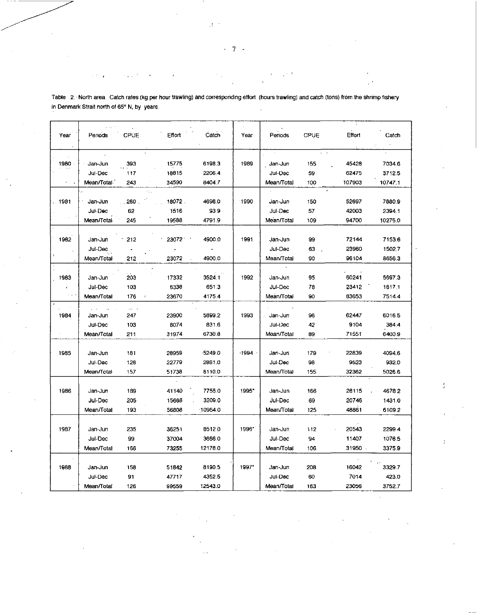| Year          | Periods    | CPUE                 | Effort                       | Catch     | Year    | Periods    | <b>CPUE</b> | Effort | Catch   |
|---------------|------------|----------------------|------------------------------|-----------|---------|------------|-------------|--------|---------|
|               |            |                      |                              |           |         |            |             |        |         |
|               |            |                      |                              |           |         |            |             |        |         |
|               |            |                      |                              |           |         |            |             |        |         |
| 1980          | Jan-Jun    | 393                  | 15775                        | 6198.3    | 1989    | Jan-Jun    | 155         | 45428  | 7034.6  |
|               | Jul-Dec    | 117                  | 18815                        | 2206.4    |         | Jul-Dec    | 59          | 62475  | 3712.5  |
|               | Mean/Total | 243                  | 34590                        | 8404.7    |         | Mean/Total | 100         | 107903 | 10747.1 |
|               |            |                      |                              |           |         |            |             |        |         |
| . 1981        | Jan Jun    | 260                  | 18072.                       | 4698.0    | 1990    | Jan-Jun    | 150         | 52697  | 7880.9  |
|               | Jul-Dec    | 62                   | 1516                         | 93.9      |         | Jul-Dec    | 57          | 42003  | 2394.1  |
|               | Mean/Total | 245                  | 19588                        | 4791.9    |         | Mean/Total | 109         | 94700  | 10275.0 |
|               |            |                      |                              |           |         |            |             |        |         |
| 1982          | Jan-Jun    | 212                  | 23072.                       | 4900.0    | 1991    | Jan-Jun    | 99          | 72144  | 7153.6  |
|               | Jul-Dec    | $\hat{\phantom{a}}$  |                              |           |         | Jul-Dec    | 63          | 23960  | 1502.7  |
|               | Mean/Total | 212                  | 23072                        | 4900.0    |         | Mean/Total | 90          | 96104  | 8656.3  |
|               |            |                      |                              |           |         |            |             |        |         |
| 1983          | Jan-Jun    | 203                  | 17332                        | 3524.1    | 1992    | Jan-Jun    | 95          | 60241  | 5697.3  |
| ÷             | Jul-Dec    | 103                  | 6338                         | 651.3     |         | Jul-Dec    | 78          | 23412  | 1817.1  |
| $\sim$ $\sim$ | Mean/Total | 176                  | $\boldsymbol{\tau}$<br>23670 | 4175.4    |         | Mean/Total | 90          | 83653  | 7514.4  |
|               |            | $\omega \rightarrow$ |                              |           |         |            |             |        |         |
| 1984          | Jan-Jun    | 247                  | 23900                        | 5899.2    | 1993    | Jan-Jun    | 96          | 62447  | 6016.5  |
|               | Jul-Dec    | 103                  | 8074                         | 831.6     |         | Jul-Dec    | 42          | 9104   | 384.4   |
|               | Mean/Total | 211                  | 31974                        | 6730.8    |         | Mean/Total | 89          | 71551  | 6400.9  |
|               |            |                      |                              |           |         |            |             |        |         |
| 1985          | Jan-Jun    | 181                  | 28959                        | $-5249.0$ | $-1994$ | Jan-Jun    | 179         | 22839  | 4094.6  |
|               | Jul Dec    | 126                  | 22779                        | 2861.0    |         | Jul Dec    | 98          | 9523   | 932.0   |
|               | Mean/Total | 157                  | 51738                        | 8110.0    |         | Mean/Total | 155         | 32362  | 5026.6  |
|               |            |                      |                              |           |         |            |             |        |         |
| 1986          | Jan-Jun    | 189                  | 41140                        | 7755.0    | 1995*   | Jan-Jun    | 166         | 28115  | 4678.2  |
|               | Jul-Dec    | 205                  | 15668                        | 3209.0    |         | Jul-Dec    | 69          | 20746  | 1431.0  |
|               | Mean/Total | 193                  | 56808                        | 10964.0   |         | Mean/Total | 125         | 48861  | 6109.2  |
|               |            |                      |                              |           |         |            |             |        |         |
| 1987          | Jan-Jun    | 235                  | 36251                        | 8512.0    | 1996*   | Jan-Jun    | 112         | 20543  | 2299.4  |
|               | Jul-Dec    | 99                   | 37004                        | 3666.0    |         | Jul-Dec    | 94          | 11407  | 1076.5  |
|               | Mean/Total | 166                  | 73255                        | 12178.0   |         | Mean/Total | 106         | 31950  | 3375.9  |
|               |            |                      |                              |           |         |            |             |        |         |
| 1988          | Jan-Jun    | 158                  | 51842                        | 8190.5    | 1997*   | Jan-Jun    | 208         | 16042  | 3329.7  |
|               | Jul-Dec    | 91                   | 47717                        | 4352.5    |         | Jul-Dec    | 60          | 7014   | 423.0   |
|               | Mean/Total | 126                  | 99559                        | 12543.0   |         | Mean/Total | 163         | 23056  | 3752.7  |
|               |            |                      |                              |           |         |            |             |        |         |

ŧ

Table 2.' North area. Catch rates (kg per hour trawling) and corresponding effort (hours trawling) and catch (tons) from the shrimp fishery in Denmark Strait north of 65° N, *by* years.

7  $\ddot{\phantom{1}}$ 

 $\mathcal{A}^{\mathcal{A}}$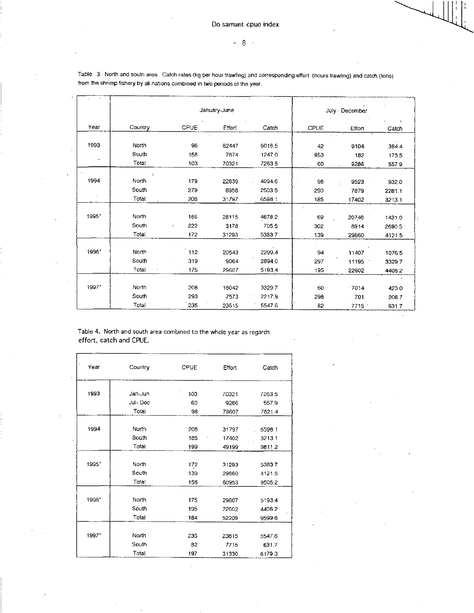|        |                       |             | January-June |        |                   | July - December |        |
|--------|-----------------------|-------------|--------------|--------|-------------------|-----------------|--------|
| Year   | Country               | <b>CPUE</b> | Effort       | Catch  | CPUE              | Effort          | Catch  |
| 1993   | North                 | 96          | 62447        | 6016.5 | $42 \overline{)}$ | 9104            | 384.4  |
|        | South.                | 158         | 7874         | 1247.0 | 953               | 182             | 173.5  |
| $\sim$ | Total                 | 103         | 70321        | 7263.5 | -60               | 9286            | 557.9  |
| 1994   | $\mathbf{r}$<br>North | 179         | 22839        | 4094.6 | 98                | 9523            | 932.0  |
|        | South                 | 279         | 8958         | 2503.5 | 290               | 7879            | 2281.1 |
|        | Total                 | 208         | 31797        | 6598.1 | 185               | 17402           | 3213.1 |
| 1995*  | North                 | 166         | 28115        | 4678.2 | 69                | 20746           | 1431.0 |
|        | South                 | 222         | 3178         | 705.5  | 302               | 8914            | 2690.5 |
|        | Total                 | 172         | 31293        | 5383.7 | 139               | 29660           | 4121.5 |
| 1996*  | North                 | 112         | 20543        | 2299.4 | 94                | 11407           | 1076.5 |
|        | South                 | 319         | 9064         | 2894.0 | 297               | 11195           | 3329.7 |
|        | Total                 | 175         | 29607        | 5193.4 | 195               | 22602           | 4406.2 |
|        |                       |             |              |        |                   |                 |        |
| 1997*  | North                 | 208         | 16042        | 3329.7 | 60                | $-7014$         | 423.0  |
|        | South                 | 293         | 7573         | 2217.9 | 298               | 701             | 208.7  |
|        | Total                 | 235         | 23615        | 5547.6 | 82                | 7715            | 631.7  |

Table 3. North and south area. Catch rates (kg per hour trawling) and corresponding effort (hours trawling) and catch (tons) from the shrimp fishery by all nations combined in two periods of the year.

Table 4. North and south area combined to the whole year as regards effort, catch and CPUE.

 $\cdot$ 

| Year  | Country | CPUE | Effort | Catch  |
|-------|---------|------|--------|--------|
| 1993  | Jan-Jun | 103  | 70321  | 7263.5 |
|       | Jul-Dec | 60   | 9286   | 557.9  |
|       | Total   | 98   | 79607  | 7821.4 |
|       |         |      |        |        |
| 1994  | North   | 208  | 31797  | 6598.1 |
|       | South   | 185  | 17402  | 3213.1 |
|       | Total   | 199  | 49199  | 9811.2 |
|       |         |      |        |        |
| 1995* | North   | 172  | 31293  | 5383.7 |
|       | South   | 139  | 29660  | 4121.5 |
|       | Total   | 156  | 60953  | 9505.2 |
|       |         |      |        |        |
| 1996* | North   | 175  | 29607  | 5193.4 |
|       | South   | 195  | 22602  | 4406.2 |
|       | Total   | 184  | 52209  | 9599.6 |
|       |         |      |        |        |
| 1997* | North   | 235  | 23615  | 5547.6 |
|       | South   | 82   | 7715   | 631.7  |
|       | Total   | 197  | 31330  | 6179.3 |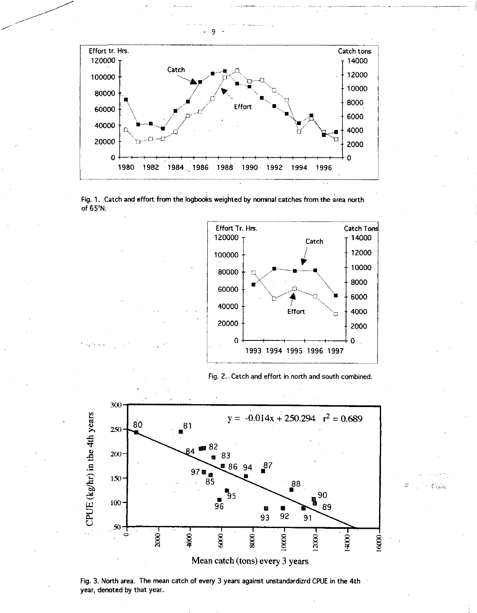







Casa



Fig. 3. North area. The mean catch of every 3 years against unstandardizrd CPUE in the 4th year, denoted by that year.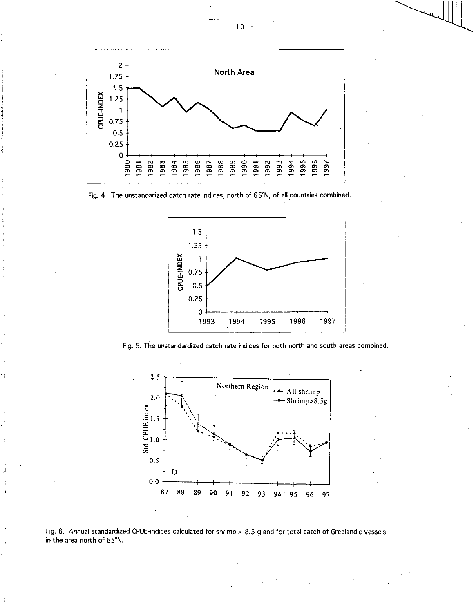





Fig. 5. The unstandardized catch rate indices for both north and south areas combined.





 $10 -$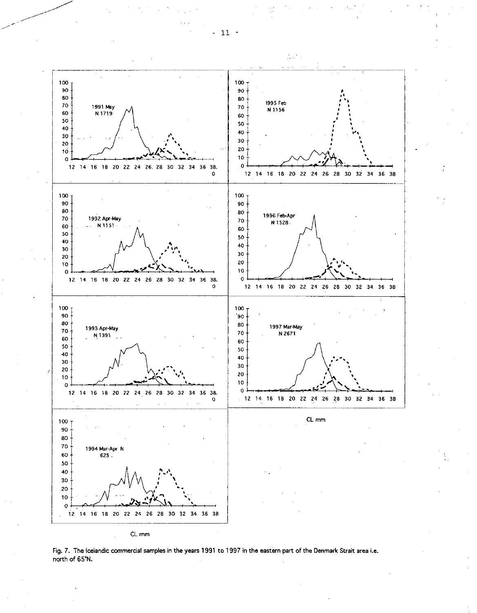

Fig. 7. The Icelandic commercial samples in the years 1991 to 1997 in the eastern part of the Denmark Strait area i.e. north of 65°N.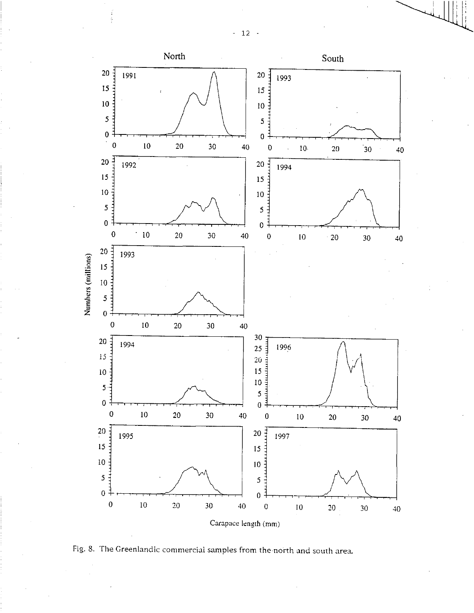- 12 -

÷  $\frac{1}{2}$ 



Fig. 8. The Greenlandic commercial samples from the north and south area